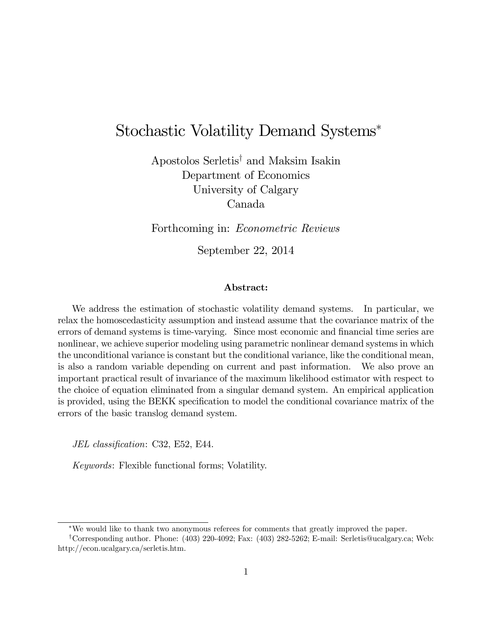## Stochastic Volatility Demand Systems

Apostolos Serletis<sup>†</sup> and Maksim Isakin Department of Economics University of Calgary Canada

Forthcoming in: Econometric Reviews

September 22, 2014

#### Abstract:

We address the estimation of stochastic volatility demand systems. In particular, we relax the homoscedasticity assumption and instead assume that the covariance matrix of the errors of demand systems is time-varying. Since most economic and financial time series are nonlinear, we achieve superior modeling using parametric nonlinear demand systems in which the unconditional variance is constant but the conditional variance, like the conditional mean, is also a random variable depending on current and past information. We also prove an important practical result of invariance of the maximum likelihood estimator with respect to the choice of equation eliminated from a singular demand system. An empirical application is provided, using the BEKK specification to model the conditional covariance matrix of the errors of the basic translog demand system.

JEL classification: C32, E52, E44.

Keywords: Flexible functional forms; Volatility.

We would like to thank two anonymous referees for comments that greatly improved the paper.

<sup>&</sup>lt;sup>†</sup>Corresponding author. Phone:  $(403)$  220-4092; Fax:  $(403)$  282-5262; E-mail: Serletis@ucalgary.ca; Web: http://econ.ucalgary.ca/serletis.htm.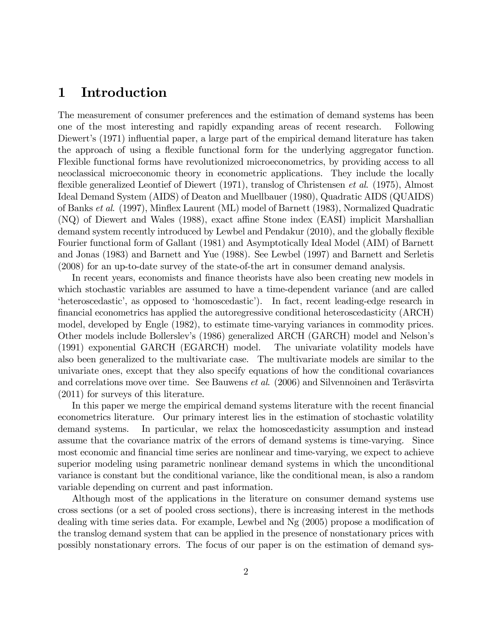## 1 Introduction

The measurement of consumer preferences and the estimation of demand systems has been one of the most interesting and rapidly expanding areas of recent research. Following Diewert's (1971) influential paper, a large part of the empirical demand literature has taken the approach of using a flexible functional form for the underlying aggregator function. Flexible functional forms have revolutionized microeconometrics, by providing access to all neoclassical microeconomic theory in econometric applications. They include the locally flexible generalized Leontief of Diewert  $(1971)$ , translog of Christensen *et al.*  $(1975)$ , Almost Ideal Demand System (AIDS) of Deaton and Muellbauer (1980), Quadratic AIDS (QUAIDS) of Banks et al. (1997), Mináex Laurent (ML) model of Barnett (1983), Normalized Quadratic  $(NQ)$  of Diewert and Wales (1988), exact affine Stone index (EASI) implicit Marshallian demand system recently introduced by Lewbel and Pendakur (2010), and the globally flexible Fourier functional form of Gallant (1981) and Asymptotically Ideal Model (AIM) of Barnett and Jonas (1983) and Barnett and Yue (1988). See Lewbel (1997) and Barnett and Serletis (2008) for an up-to-date survey of the state-of-the art in consumer demand analysis.

In recent years, economists and finance theorists have also been creating new models in which stochastic variables are assumed to have a time-dependent variance (and are called ëheteroscedasticí, as opposed to ëhomoscedasticí). In fact, recent leading-edge research in Önancial econometrics has applied the autoregressive conditional heteroscedasticity (ARCH) model, developed by Engle (1982), to estimate time-varying variances in commodity prices. Other models include Bollerslevís (1986) generalized ARCH (GARCH) model and Nelsonís (1991) exponential GARCH (EGARCH) model. The univariate volatility models have also been generalized to the multivariate case. The multivariate models are similar to the univariate ones, except that they also specify equations of how the conditional covariances and correlations move over time. See Bauwens *et al.*  $(2006)$  and Silvennoinen and Teräsvirta (2011) for surveys of this literature.

In this paper we merge the empirical demand systems literature with the recent financial econometrics literature. Our primary interest lies in the estimation of stochastic volatility demand systems. In particular, we relax the homoscedasticity assumption and instead assume that the covariance matrix of the errors of demand systems is time-varying. Since most economic and financial time series are nonlinear and time-varying, we expect to achieve superior modeling using parametric nonlinear demand systems in which the unconditional variance is constant but the conditional variance, like the conditional mean, is also a random variable depending on current and past information.

Although most of the applications in the literature on consumer demand systems use cross sections (or a set of pooled cross sections), there is increasing interest in the methods dealing with time series data. For example, Lewbel and  $N<sub>g</sub>$  (2005) propose a modification of the translog demand system that can be applied in the presence of nonstationary prices with possibly nonstationary errors. The focus of our paper is on the estimation of demand sys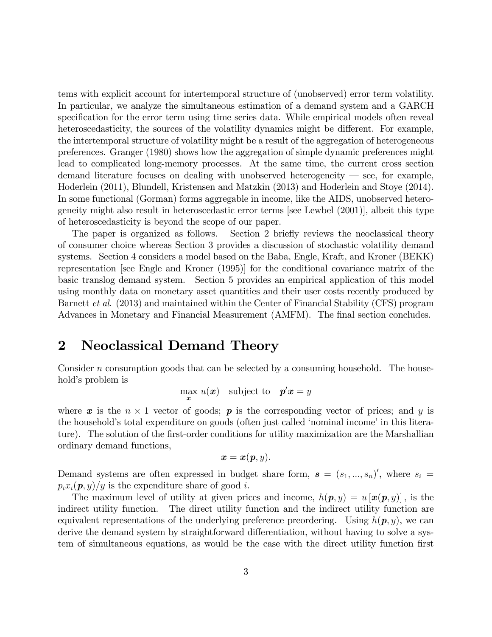tems with explicit account for intertemporal structure of (unobserved) error term volatility. In particular, we analyze the simultaneous estimation of a demand system and a GARCH specification for the error term using time series data. While empirical models often reveal heteroscedasticity, the sources of the volatility dynamics might be different. For example, the intertemporal structure of volatility might be a result of the aggregation of heterogeneous preferences. Granger (1980) shows how the aggregation of simple dynamic preferences might lead to complicated long-memory processes. At the same time, the current cross section demand literature focuses on dealing with unobserved heterogeneity  $\sim$  see, for example, Hoderlein (2011), Blundell, Kristensen and Matzkin (2013) and Hoderlein and Stoye (2014). In some functional (Gorman) forms aggregable in income, like the AIDS, unobserved heterogeneity might also result in heteroscedastic error terms [see Lewbel (2001)], albeit this type of heteroscedasticity is beyond the scope of our paper.

The paper is organized as follows. Section 2 briefly reviews the neoclassical theory of consumer choice whereas Section 3 provides a discussion of stochastic volatility demand systems. Section 4 considers a model based on the Baba, Engle, Kraft, and Kroner (BEKK) representation [see Engle and Kroner (1995)] for the conditional covariance matrix of the basic translog demand system. Section 5 provides an empirical application of this model using monthly data on monetary asset quantities and their user costs recently produced by Barnett et al. (2013) and maintained within the Center of Financial Stability (CFS) program Advances in Monetary and Financial Measurement (AMFM). The final section concludes.

### 2 Neoclassical Demand Theory

Consider n consumption goods that can be selected by a consuming household. The household's problem is

$$
\max_{\bm{x}} u(\bm{x})
$$
 subject to  $\bm{p}'\bm{x} = y$ 

where  $x$  is the  $n \times 1$  vector of goods;  $p$  is the corresponding vector of prices; and y is the household's total expenditure on goods (often just called 'nominal income' in this literature). The solution of the first-order conditions for utility maximization are the Marshallian ordinary demand functions,

$$
\boldsymbol{x} = \boldsymbol{x}(\boldsymbol{p},y).
$$

Demand systems are often expressed in budget share form,  $s = (s_1, ..., s_n)'$ , where  $s_i =$  $p_ix_i(\boldsymbol{p},y)/y$  is the expenditure share of good i.

The maximum level of utility at given prices and income,  $h(\mathbf{p}, y) = u[\mathbf{x}(\mathbf{p}, y)]$ , is the indirect utility function. The direct utility function and the indirect utility function are equivalent representations of the underlying preference preordering. Using  $h(\mathbf{p}, y)$ , we can derive the demand system by straightforward differentiation, without having to solve a system of simultaneous equations, as would be the case with the direct utility function first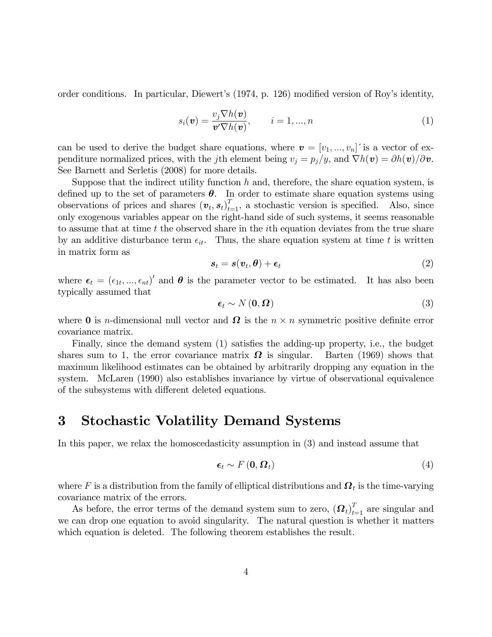order conditions. In particular, Diewert's  $(1974, p. 126)$  modified version of Roy's identity,

$$
s_i(\boldsymbol{v}) = \frac{v_j \nabla h(\boldsymbol{v})}{\boldsymbol{v}' \nabla h(\boldsymbol{v})}, \qquad i = 1, ..., n
$$
 (1)

can be used to derive the budget share equations, where  $\mathbf{v} = [v_1, ..., v_n]$  is a vector of expenditure normalized prices, with the jth element being  $v_j = p_j/y$ , and  $\nabla h(\mathbf{v}) = \partial h(\mathbf{v})/\partial \mathbf{v}$ . See Barnett and Serletis (2008) for more details.

Suppose that the indirect utility function  $h$  and, therefore, the share equation system, is defined up to the set of parameters  $\theta$ . In order to estimate share equation systems using observations of prices and shares  $(v_t, s_t)_{t=1}^T$ , a stochastic version is specified. Also, since only exogenous variables appear on the right-hand side of such systems, it seems reasonable to assume that at time t the observed share in the ith equation deviates from the true share by an additive disturbance term  $\epsilon_{it}$ . Thus, the share equation system at time t is written in matrix form as

$$
s_t = s(v_t, \theta) + \epsilon_t \tag{2}
$$

where  $\epsilon_t = (\epsilon_{1t}, ..., \epsilon_{nt})'$  and  $\theta$  is the parameter vector to be estimated. It has also been typically assumed that

$$
\epsilon_t \sim N(0, \Omega) \tag{3}
$$

where **0** is *n*-dimensional null vector and  $\Omega$  is the  $n \times n$  symmetric positive definite error covariance matrix.

Finally, since the demand system (1) satisfies the adding-up property, i.e., the budget shares sum to 1, the error covariance matrix  $\Omega$  is singular. Barten (1969) shows that maximum likelihood estimates can be obtained by arbitrarily dropping any equation in the system. McLaren (1990) also establishes invariance by virtue of observational equivalence of the subsystems with different deleted equations.

## 3 Stochastic Volatility Demand Systems

In this paper, we relax the homoscedasticity assumption in (3) and instead assume that

$$
\epsilon_t \sim F\left(\mathbf{0}, \boldsymbol{\Omega}_t\right) \tag{4}
$$

where F is a distribution from the family of elliptical distributions and  $\mathbf{\Omega}_t$  is the time-varying covariance matrix of the errors.

As before, the error terms of the demand system sum to zero,  $(\boldsymbol{\Omega}_t)_{t=1}^T$  are singular and we can drop one equation to avoid singularity. The natural question is whether it matters which equation is deleted. The following theorem establishes the result.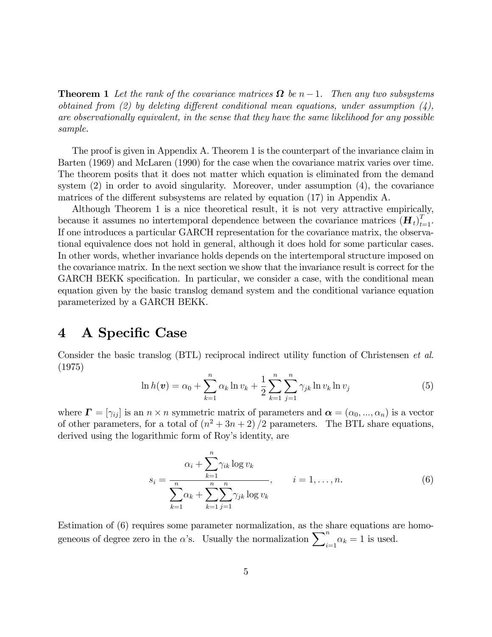**Theorem 1** Let the rank of the covariance matrices  $\Omega$  be n – 1. Then any two subsystems obtained from (2) by deleting different conditional mean equations, under assumption (4), are observationally equivalent, in the sense that they have the same likelihood for any possible sample.

The proof is given in Appendix A. Theorem 1 is the counterpart of the invariance claim in Barten (1969) and McLaren (1990) for the case when the covariance matrix varies over time. The theorem posits that it does not matter which equation is eliminated from the demand system (2) in order to avoid singularity. Moreover, under assumption (4), the covariance matrices of the different subsystems are related by equation  $(17)$  in Appendix A.

Although Theorem 1 is a nice theoretical result, it is not very attractive empirically, because it assumes no intertemporal dependence between the covariance matrices  $(\boldsymbol{H}_t)_{t=1}^T$ . If one introduces a particular GARCH representation for the covariance matrix, the observational equivalence does not hold in general, although it does hold for some particular cases. In other words, whether invariance holds depends on the intertemporal structure imposed on the covariance matrix. In the next section we show that the invariance result is correct for the GARCH BEKK specification. In particular, we consider a case, with the conditional mean equation given by the basic translog demand system and the conditional variance equation parameterized by a GARCH BEKK.

## 4 A Specific Case

Consider the basic translog (BTL) reciprocal indirect utility function of Christensen et al. (1975)

$$
\ln h(\mathbf{v}) = \alpha_0 + \sum_{k=1}^n \alpha_k \ln v_k + \frac{1}{2} \sum_{k=1}^n \sum_{j=1}^n \gamma_{jk} \ln v_k \ln v_j \tag{5}
$$

where  $\mathbf{\Gamma} = [\gamma_{ij}]$  is an  $n \times n$  symmetric matrix of parameters and  $\boldsymbol{\alpha} = (\alpha_0, ..., \alpha_n)$  is a vector of other parameters, for a total of  $(n^2 + 3n + 2)/2$  parameters. The BTL share equations, derived using the logarithmic form of Roy's identity, are

$$
s_i = \frac{\alpha_i + \sum_{k=1}^n \gamma_{ik} \log v_k}{\sum_{k=1}^n \alpha_k + \sum_{k=1}^n \sum_{j=1}^n \gamma_{jk} \log v_k}, \qquad i = 1, ..., n.
$$
 (6)

Estimation of (6) requires some parameter normalization, as the share equations are homogeneous of degree zero in the  $\alpha$ 's. Usually the normalization  $\sum_{i=1}^{n} \alpha_k = 1$  is used.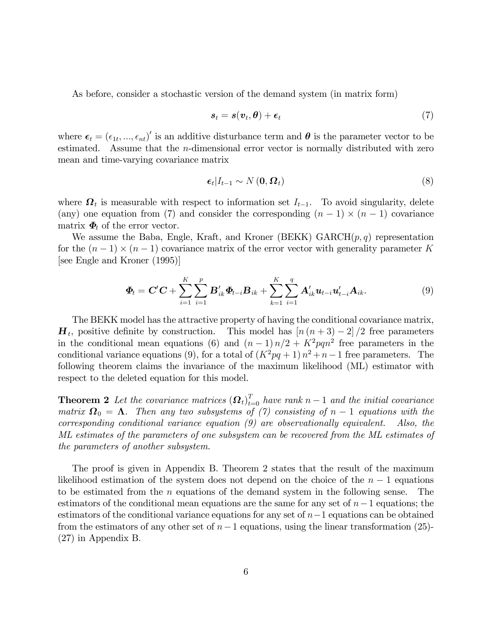As before, consider a stochastic version of the demand system (in matrix form)

$$
s_t = s(\boldsymbol{v}_t, \boldsymbol{\theta}) + \boldsymbol{\epsilon}_t \tag{7}
$$

where  $\epsilon_t = (\epsilon_{1t}, ..., \epsilon_{nt})'$  is an additive disturbance term and  $\theta$  is the parameter vector to be estimated. Assume that the  $n$ -dimensional error vector is normally distributed with zero mean and time-varying covariance matrix

$$
\epsilon_t | I_{t-1} \sim N(0, \Omega_t)
$$
\n(8)

where  $\Omega_t$  is measurable with respect to information set  $I_{t-1}$ . To avoid singularity, delete (any) one equation from (7) and consider the corresponding  $(n - 1) \times (n - 1)$  covariance matrix  $\boldsymbol{\Phi}_t$  of the error vector.

We assume the Baba, Engle, Kraft, and Kroner (BEKK)  $GARCH(p,q)$  representation for the  $(n-1) \times (n-1)$  covariance matrix of the error vector with generality parameter K [see Engle and Kroner (1995)]

$$
\boldsymbol{\Phi}_{t} = \mathbf{C}'\mathbf{C} + \sum_{i=1}^{K} \sum_{i=1}^{p} \mathbf{B}'_{ik} \boldsymbol{\Phi}_{t-i} \mathbf{B}_{ik} + \sum_{k=1}^{K} \sum_{i=1}^{q} \mathbf{A}'_{ik} \mathbf{u}_{t-i} \mathbf{u}'_{t-i} \mathbf{A}_{ik}.
$$
\n(9)

The BEKK model has the attractive property of having the conditional covariance matrix,  $\boldsymbol{H}_t$ , positive definite by construction. This model has  $\left[n\left(n+3\right)-2\right]/2$  free parameters in the conditional mean equations (6) and  $(n-1)n/2 + K^2pqn^2$  free parameters in the conditional variance equations (9), for a total of  $(K^2pq + 1)n^2 + n - 1$  free parameters. The following theorem claims the invariance of the maximum likelihood (ML) estimator with respect to the deleted equation for this model.

**Theorem 2** Let the covariance matrices  $(\boldsymbol{\Omega}_t)_{t=0}^T$  have rank  $n-1$  and the initial covariance matrix  $\mathbf{\Omega}_0 = \mathbf{\Lambda}$ . Then any two subsystems of (7) consisting of  $n-1$  equations with the corresponding conditional variance equation (9) are observationally equivalent. Also, the ML estimates of the parameters of one subsystem can be recovered from the ML estimates of the parameters of another subsystem.

The proof is given in Appendix B. Theorem 2 states that the result of the maximum likelihood estimation of the system does not depend on the choice of the  $n-1$  equations to be estimated from the *n* equations of the demand system in the following sense. The to be estimated from the  $n$  equations of the demand system in the following sense. estimators of the conditional mean equations are the same for any set of  $n-1$  equations; the estimators of the conditional variance equations for any set of  $n-1$  equations can be obtained from the estimators of any other set of  $n-1$  equations, using the linear transformation (25)-(27) in Appendix B.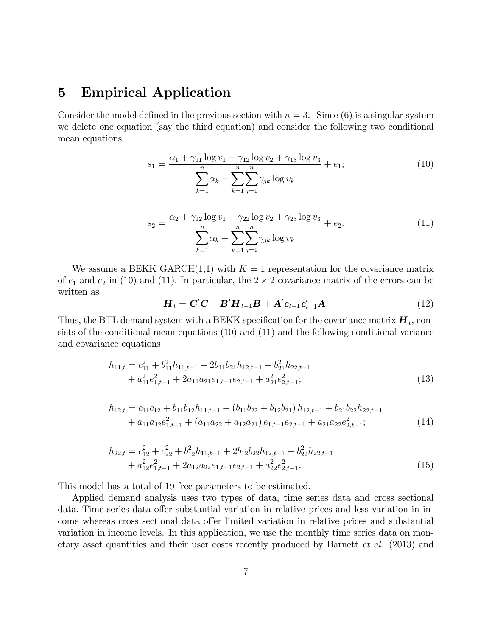## 5 Empirical Application

Consider the model defined in the previous section with  $n = 3$ . Since (6) is a singular system we delete one equation (say the third equation) and consider the following two conditional mean equations

$$
s_1 = \frac{\alpha_1 + \gamma_{11} \log v_1 + \gamma_{12} \log v_2 + \gamma_{13} \log v_3}{\sum_{k=1}^n \alpha_k + \sum_{k=1}^n \sum_{j=1}^n \gamma_{jk} \log v_k} + e_1;
$$
 (10)

$$
s_2 = \frac{\alpha_2 + \gamma_{12} \log v_1 + \gamma_{22} \log v_2 + \gamma_{23} \log v_3}{\sum_{k=1}^n \alpha_k + \sum_{k=1}^n \sum_{j=1}^n \gamma_{jk} \log v_k} + e_2.
$$
 (11)

We assume a BEKK GARCH $(1,1)$  with  $K = 1$  representation for the covariance matrix of  $e_1$  and  $e_2$  in (10) and (11). In particular, the  $2 \times 2$  covariance matrix of the errors can be written as

$$
\boldsymbol{H}_t = \boldsymbol{C}'\boldsymbol{C} + \boldsymbol{B}'\boldsymbol{H}_{t-1}\boldsymbol{B} + \boldsymbol{A}'\boldsymbol{e}_{t-1}\boldsymbol{e}'_{t-1}\boldsymbol{A}.
$$
 (12)

Thus, the BTL demand system with a BEKK specification for the covariance matrix  $\boldsymbol{H}_t$ , consists of the conditional mean equations (10) and (11) and the following conditional variance and covariance equations

$$
h_{11,t} = c_{11}^2 + b_{11}^2 h_{11,t-1} + 2b_{11}b_{21}h_{12,t-1} + b_{21}^2 h_{22,t-1} + a_{11}^2 e_{1,t-1}^2 + 2a_{11}a_{21}e_{1,t-1}e_{2,t-1} + a_{21}^2 e_{2,t-1}^2;
$$
\n(13)

$$
h_{12,t} = c_{11}c_{12} + b_{11}b_{12}h_{11,t-1} + (b_{11}b_{22} + b_{12}b_{21})h_{12,t-1} + b_{21}b_{22}h_{22,t-1} + a_{11}a_{12}e_{1,t-1}^2 + (a_{11}a_{22} + a_{12}a_{21})e_{1,t-1}e_{2,t-1} + a_{21}a_{22}e_{2,t-1}^2;
$$
\n(14)

$$
h_{22,t} = c_{12}^2 + c_{22}^2 + b_{12}^2 h_{11,t-1} + 2b_{12}b_{22}h_{12,t-1} + b_{22}^2 h_{22,t-1} + a_{12}^2 e_{1,t-1}^2 + 2a_{12}a_{22}e_{1,t-1}e_{2,t-1} + a_{22}^2 e_{2,t-1}^2.
$$
\n(15)

This model has a total of 19 free parameters to be estimated.

Applied demand analysis uses two types of data, time series data and cross sectional data. Time series data offer substantial variation in relative prices and less variation in income whereas cross sectional data offer limited variation in relative prices and substantial variation in income levels. In this application, we use the monthly time series data on monetary asset quantities and their user costs recently produced by Barnett et al. (2013) and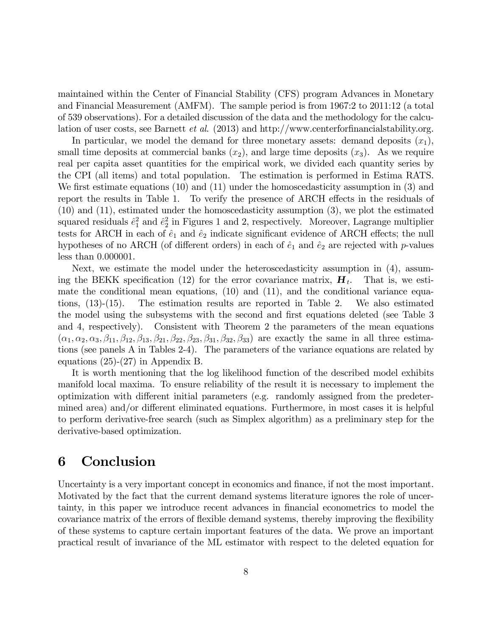maintained within the Center of Financial Stability (CFS) program Advances in Monetary and Financial Measurement (AMFM). The sample period is from 1967:2 to 2011:12 (a total of 539 observations). For a detailed discussion of the data and the methodology for the calculation of user costs, see Barnett *et al.*  $(2013)$  and http://www.centerformancialstability.org.

In particular, we model the demand for three monetary assets: demand deposits  $(x_1)$ , small time deposits at commercial banks  $(x_2)$ , and large time deposits  $(x_3)$ . As we require real per capita asset quantities for the empirical work, we divided each quantity series by the CPI (all items) and total population. The estimation is performed in Estima RATS. We first estimate equations  $(10)$  and  $(11)$  under the homoscedasticity assumption in  $(3)$  and report the results in Table 1. To verify the presence of ARCH effects in the residuals of (10) and (11), estimated under the homoscedasticity assumption (3), we plot the estimated squared residuals  $\hat{e}_1^2$  and  $\hat{e}_2^2$  in Figures 1 and 2, respectively. Moreover, Lagrange multiplier tests for ARCH in each of  $\hat{e}_1$  and  $\hat{e}_2$  indicate significant evidence of ARCH effects; the null hypotheses of no ARCH (of different orders) in each of  $\hat{e}_1$  and  $\hat{e}_2$  are rejected with p-values less than 0:000001.

Next, we estimate the model under the heteroscedasticity assumption in (4), assuming the BEKK specification (12) for the error covariance matrix,  $\mathbf{H}_t$ . . That is, we estimate the conditional mean equations, (10) and (11), and the conditional variance equations, (13)-(15). The estimation results are reported in Table 2. We also estimated the model using the subsystems with the second and first equations deleted (see Table 3) and 4, respectively). Consistent with Theorem 2 the parameters of the mean equations  $(\alpha_1, \alpha_2, \alpha_3, \beta_{11}, \beta_{12}, \beta_{13}, \beta_{21}, \beta_{22}, \beta_{23}, \beta_{31}, \beta_{32}, \beta_{33})$  are exactly the same in all three estimations (see panels A in Tables 2-4). The parameters of the variance equations are related by equations (25)-(27) in Appendix B.

It is worth mentioning that the log likelihood function of the described model exhibits manifold local maxima. To ensure reliability of the result it is necessary to implement the optimization with different initial parameters (e.g. randomly assigned from the predetermined area) and/or different eliminated equations. Furthermore, in most cases it is helpful to perform derivative-free search (such as Simplex algorithm) as a preliminary step for the derivative-based optimization.

## 6 Conclusion

Uncertainty is a very important concept in economics and finance, if not the most important. Motivated by the fact that the current demand systems literature ignores the role of uncertainty, in this paper we introduce recent advances in Önancial econometrics to model the covariance matrix of the errors of flexible demand systems, thereby improving the flexibility of these systems to capture certain important features of the data. We prove an important practical result of invariance of the ML estimator with respect to the deleted equation for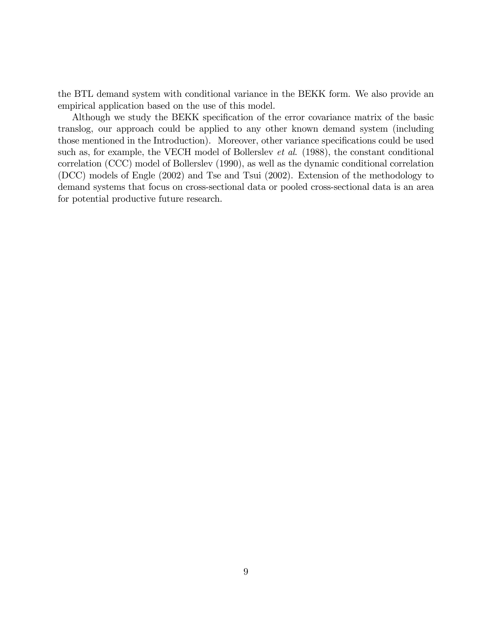the BTL demand system with conditional variance in the BEKK form. We also provide an empirical application based on the use of this model.

Although we study the BEKK specification of the error covariance matrix of the basic translog, our approach could be applied to any other known demand system (including those mentioned in the Introduction). Moreover, other variance specifications could be used such as, for example, the VECH model of Bollerslev *et al.* (1988), the constant conditional correlation (CCC) model of Bollerslev (1990), as well as the dynamic conditional correlation (DCC) models of Engle (2002) and Tse and Tsui (2002). Extension of the methodology to demand systems that focus on cross-sectional data or pooled cross-sectional data is an area for potential productive future research.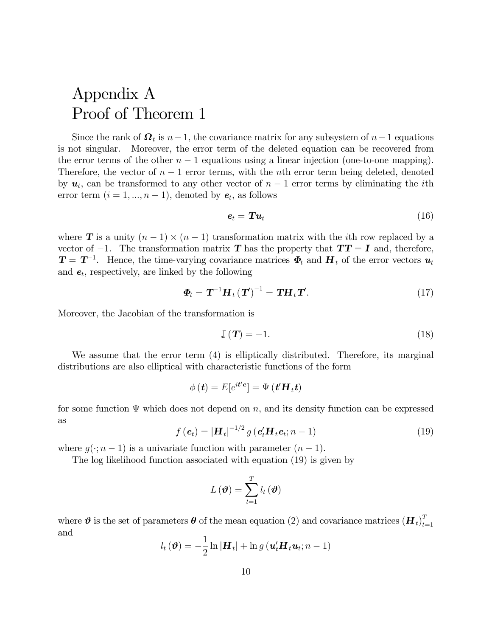# Appendix A Proof of Theorem 1

Since the rank of  $\Omega_t$  is  $n-1$ , the covariance matrix for any subsystem of  $n-1$  equations is not singular. Moreover, the error term of the deleted equation can be recovered from the error terms of the other  $n-1$  equations using a linear injection (one-to-one mapping). Therefore, the vector of  $n-1$  error terms, with the nth error term being deleted, denoted by  $u_t$ , can be transformed to any other vector of  $n-1$  error terms by eliminating the *i*th error term  $(i = 1, ..., n - 1)$ , denoted by  $e_t$ , as follows

$$
\boldsymbol{e}_t = \boldsymbol{T} \boldsymbol{u}_t \tag{16}
$$

where **T** is a unity  $(n-1) \times (n-1)$  transformation matrix with the *i*th row replaced by a vector of  $-1$ . The transformation matrix T has the property that  $TT = I$  and, therefore,  $T = T^{-1}$ . Hence, the time-varying covariance matrices  $\Phi_t$  and  $H_t$  of the error vectors  $u_t$ and  $e_t$ , respectively, are linked by the following

$$
\boldsymbol{\Phi}_{t} = \boldsymbol{T}^{-1} \boldsymbol{H}_{t} (\boldsymbol{T}')^{-1} = \boldsymbol{T} \boldsymbol{H}_{t} \boldsymbol{T}'. \qquad (17)
$$

Moreover, the Jacobian of the transformation is

$$
\mathbb{J}\left(\mathbf{T}\right) = -1.\tag{18}
$$

We assume that the error term  $(4)$  is elliptically distributed. Therefore, its marginal distributions are also elliptical with characteristic functions of the form

$$
\phi\left(\boldsymbol{t}\right)=E[e^{i\boldsymbol{t}'\boldsymbol{e}}]=\Psi\left(\boldsymbol{t}'\boldsymbol{H}_t\boldsymbol{t}\right)
$$

for some function  $\Psi$  which does not depend on n, and its density function can be expressed as

$$
f\left(\boldsymbol{e}_t\right) = \left|\boldsymbol{H}_t\right|^{-1/2} g\left(\boldsymbol{e}_t'\boldsymbol{H}_t\boldsymbol{e}_t; n-1\right) \tag{19}
$$

where  $q(\cdot; n-1)$  is a univariate function with parameter  $(n-1)$ .

The log likelihood function associated with equation (19) is given by

$$
L\left(\boldsymbol{\vartheta}\right)=\sum_{t=1}^{T}l_{t}\left(\boldsymbol{\vartheta}\right)
$$

where  $\theta$  is the set of parameters  $\theta$  of the mean equation (2) and covariance matrices  $(H_t)_{t=1}^T$  $t=1$ and

$$
l_t(\boldsymbol{\vartheta}) = -\frac{1}{2}\ln|\boldsymbol{H}_t| + \ln g(\boldsymbol{u}_t'\boldsymbol{H}_t\boldsymbol{u}_t;n-1)
$$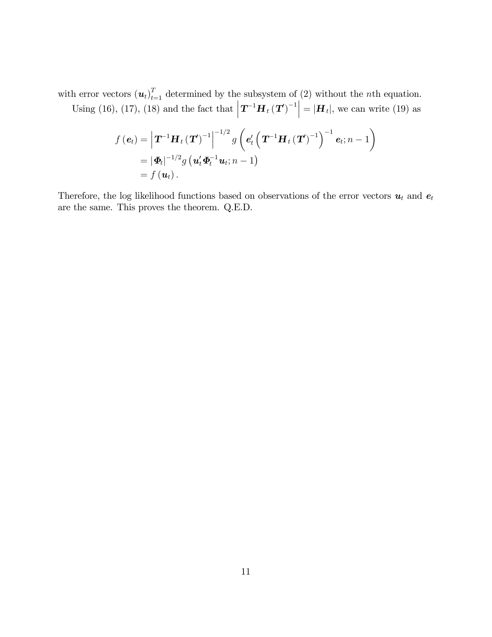with error vectors  $(u_t)_{t=1}^T$  determined by the subsystem of (2) without the *n*th equation.

Using (16), (17), (18) and the fact that  $|\boldsymbol{T}^{-1}\boldsymbol{H}_t(\boldsymbol{T})^{-1}| = |\boldsymbol{H}_t|$ , we can write (19) as

$$
f\left(\boldsymbol{e}_{t}\right) = \left|\boldsymbol{T}^{-1}\boldsymbol{H}_{t}\left(\boldsymbol{T}\right)^{-1}\right|^{-1/2} g\left(\boldsymbol{e}_{t}'\left(\boldsymbol{T}^{-1}\boldsymbol{H}_{t}\left(\boldsymbol{T}\right)^{-1}\right)^{-1}\boldsymbol{e}_{t}; n-1\right)
$$

$$
= |\boldsymbol{\Phi}_{t}|^{-1/2} g\left(\boldsymbol{u}_{t}'\boldsymbol{\Phi}_{t}^{-1}\boldsymbol{u}_{t}; n-1\right)
$$

$$
= f\left(\boldsymbol{u}_{t}\right).
$$

Therefore, the log likelihood functions based on observations of the error vectors  $u_t$  and  $e_t$ are the same. This proves the theorem. Q.E.D.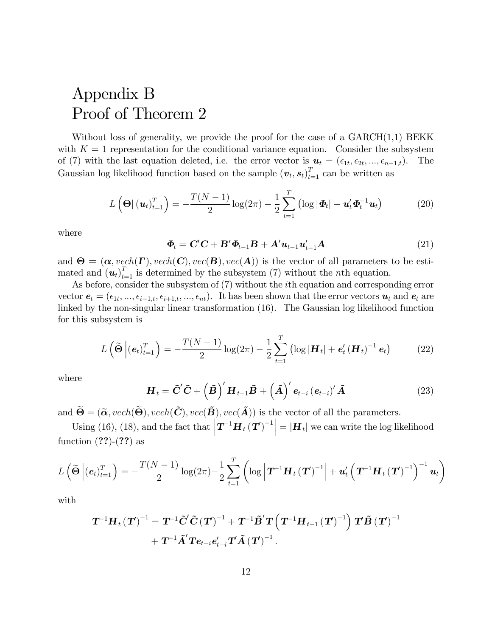# Appendix B Proof of Theorem 2

Without loss of generality, we provide the proof for the case of a  $GARCH(1,1)$  BEKK with  $K = 1$  representation for the conditional variance equation. Consider the subsystem of (7) with the last equation deleted, i.e. the error vector is  $u_t = (\epsilon_{1t}, \epsilon_{2t}, ..., \epsilon_{n-1,t})$ . The Gaussian log likelihood function based on the sample  $(v_t, s_t)_{t=1}^T$  can be written as

$$
L\left(\mathbf{\Theta}|\left(\mathbf{u}_{t}\right)_{t=1}^{T}\right)=-\frac{T(N-1)}{2}\log(2\pi)-\frac{1}{2}\sum_{t=1}^{T}\left(\log|\mathbf{\Phi}_{t}|+\mathbf{u}_{t}'\mathbf{\Phi}_{t}^{-1}\mathbf{u}_{t}\right) \tag{20}
$$

where

$$
\boldsymbol{\Phi}_{t} = \mathbf{C}^{\prime}\mathbf{C} + \mathbf{B}^{\prime}\boldsymbol{\Phi}_{t-1}\mathbf{B} + \mathbf{A}^{\prime}\boldsymbol{u}_{t-1}\boldsymbol{u}_{t-1}^{\prime}\mathbf{A}
$$
\n(21)

and  $\Theta = (\alpha, \text{vech}(\Gamma), \text{vech}(\mathbf{C}), \text{vec}(\mathbf{B}), \text{vec}(\mathbf{A}))$  is the vector of all parameters to be estimated and  $(u_t)_{t=1}^T$  is determined by the subsystem (7) without the *n*th equation.

As before, consider the subsystem of (7) without the ith equation and corresponding error vector  $e_t = (\epsilon_{1t}, ..., \epsilon_{i-1,t}, \epsilon_{i+1,t}, ..., \epsilon_{nt}).$  It has been shown that the error vectors  $u_t$  and  $e_t$  are linked by the non-singular linear transformation (16). The Gaussian log likelihood function for this subsystem is

$$
L\left(\widetilde{\Theta}\left|\left(e_{t}\right)_{t=1}^{T}\right.\right)=-\frac{T(N-1)}{2}\log(2\pi)-\frac{1}{2}\sum_{t=1}^{T}\left(\log\left|\mathbf{H}_{t}\right|+e_{t}'\left(\mathbf{H}_{t}\right)^{-1}\mathbf{e}_{t}\right) \tag{22}
$$

where

$$
\boldsymbol{H}_{t} = \boldsymbol{\tilde{C}}' \boldsymbol{\tilde{C}} + \left(\boldsymbol{\tilde{B}}\right)' \boldsymbol{H}_{t-1} \boldsymbol{\tilde{B}} + \left(\boldsymbol{\tilde{A}}\right)' \boldsymbol{e}_{t-i} \left(\boldsymbol{e}_{t-i}\right)' \boldsymbol{\tilde{A}} \tag{23}
$$

and  $\widetilde{\Theta} = (\widetilde{\alpha}, \text{vech}(\widetilde{\Theta}), \text{vech}(\widetilde{\mathbf{C}}), \text{vec}(\widetilde{\mathbf{A}})), \text{vec}(\widetilde{\mathbf{A}}))$  is the vector of all the parameters.

Using (16), (18), and the fact that  $|\mathbf{T}^{-1}\mathbf{H}_t(\mathbf{T})^{-1}| = |\mathbf{H}_t|$  we can write the log likelihood function  $(??)$ - $(??)$  as

$$
L\left(\widetilde{\Theta}\left|\left(\mathbf{e}_{t}\right)_{t=1}^{T}\right.\right)=-\frac{T(N-1)}{2}\log(2\pi)-\frac{1}{2}\sum_{t=1}^{T}\left(\log\left|\boldsymbol{T}^{-1}\boldsymbol{H}_{t}\left(\boldsymbol{T}\right)^{-1}\right|+\boldsymbol{u}_{t}^{\prime}\left(\boldsymbol{T}^{-1}\boldsymbol{H}_{t}\left(\boldsymbol{T}\right)^{-1}\right)^{-1}\boldsymbol{u}_{t}\right)
$$

with

$$
\begin{aligned} \boldsymbol{T}^{-1} \boldsymbol{H}_{t} \left(\boldsymbol{T}\right)^{-1} & = \boldsymbol{T}^{-1} \tilde{\boldsymbol{C}}' \tilde{\boldsymbol{C}} \left(\boldsymbol{T}\right)^{-1} + \boldsymbol{T}^{-1} \tilde{\boldsymbol{B}}' \boldsymbol{T} \left(\boldsymbol{T}^{-1} \boldsymbol{H}_{t-1} \left(\boldsymbol{T}\right)^{-1}\right) \boldsymbol{T} \tilde{\boldsymbol{B}} \left(\boldsymbol{T}\right)^{-1} \\ & + \boldsymbol{T}^{-1} \tilde{\boldsymbol{A}}' \boldsymbol{T} e_{t-i} e_{t-i}' \boldsymbol{T} \tilde{\boldsymbol{A}} \left(\boldsymbol{T}\right)^{-1}. \end{aligned}
$$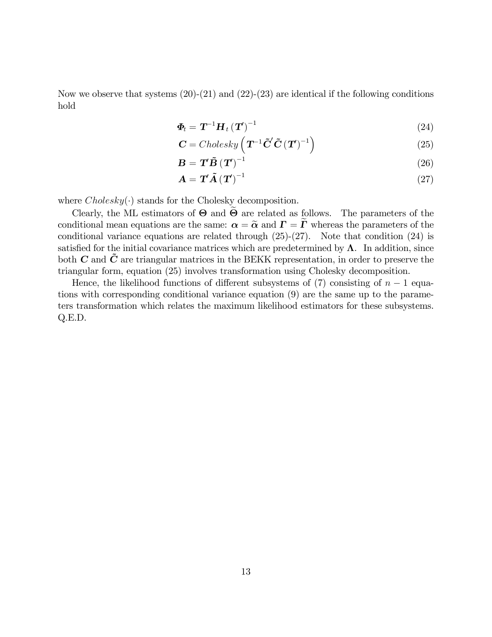Now we observe that systems  $(20)-(21)$  and  $(22)-(23)$  are identical if the following conditions hold

$$
\boldsymbol{\Phi}_{t} = \boldsymbol{T}^{-1} \boldsymbol{H}_{t} \left(\boldsymbol{T}\right)^{-1} \tag{24}
$$

$$
\mathbf{C} = Cholesky \left( \mathbf{T}^{-1} \tilde{\mathbf{C}}' \tilde{\mathbf{C}} \left( \mathbf{T}' \right)^{-1} \right) \tag{25}
$$

$$
\mathbf{B} = \mathbf{T}' \tilde{\mathbf{B}} (\mathbf{T}')^{-1} \tag{26}
$$

$$
\mathbf{A} = \mathbf{T}' \tilde{\mathbf{A}} (\mathbf{T}')^{-1} \tag{27}
$$

where  $Cholesky(\cdot)$  stands for the Cholesky decomposition.

Clearly, the ML estimators of  $\Theta$  and  $\Theta$  are related as follows. The parameters of the conditional mean equations are the same:  $\alpha = \tilde{\alpha}$  and  $\Gamma = \tilde{\Gamma}$  whereas the parameters of the conditional variance equations are related through  $(25)-(27)$ . Note that condition  $(24)$  is satisfied for the initial covariance matrices which are predetermined by  $\Lambda$ . In addition, since both  $C$  and  $\tilde{C}$  are triangular matrices in the BEKK representation, in order to preserve the triangular form, equation (25) involves transformation using Cholesky decomposition.

Hence, the likelihood functions of different subsystems of (7) consisting of  $n-1$  equations with corresponding conditional variance equation (9) are the same up to the parameters transformation which relates the maximum likelihood estimators for these subsystems. Q.E.D.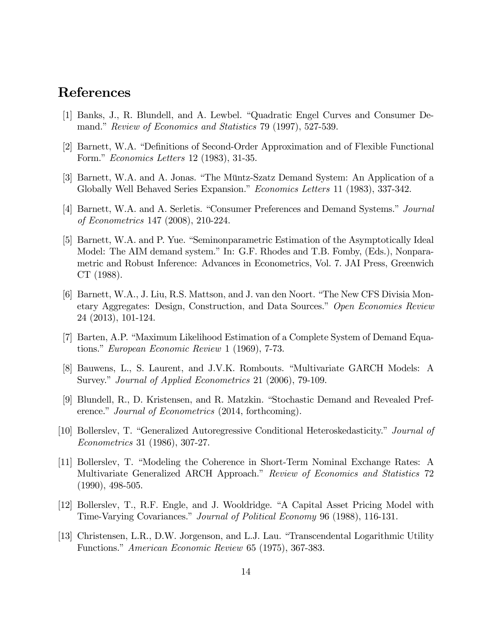## References

- [1] Banks, J., R. Blundell, and A. Lewbel. "Quadratic Engel Curves and Consumer Demand." Review of Economics and Statistics 79 (1997), 527-539.
- [2] Barnett, W.A. "Definitions of Second-Order Approximation and of Flexible Functional Form." *Economics Letters* 12 (1983), 31-35.
- [3] Barnett, W.A. and A. Jonas. "The Müntz-Szatz Demand System: An Application of a Globally Well Behaved Series Expansion." Economics Letters 11 (1983), 337-342.
- [4] Barnett, W.A. and A. Serletis. "Consumer Preferences and Demand Systems." Journal of Econometrics 147 (2008), 210-224.
- [5] Barnett, W.A. and P. Yue. "Seminonparametric Estimation of the Asymptotically Ideal Model: The AIM demand system." In: G.F. Rhodes and T.B. Fomby, (Eds.), Nonparametric and Robust Inference: Advances in Econometrics, Vol. 7. JAI Press, Greenwich CT (1988).
- [6] Barnett, W.A., J. Liu, R.S. Mattson, and J. van den Noort. "The New CFS Divisia Monetary Aggregates: Design, Construction, and Data Sources." Open Economies Review 24 (2013), 101-124.
- [7] Barten, A.P. "Maximum Likelihood Estimation of a Complete System of Demand Equations." European Economic Review 1 (1969), 7-73.
- [8] Bauwens, L., S. Laurent, and J.V.K. Rombouts. "Multivariate GARCH Models: A Survey." Journal of Applied Econometrics 21 (2006), 79-109.
- [9] Blundell, R., D. Kristensen, and R. Matzkin. "Stochastic Demand and Revealed Preference." Journal of Econometrics (2014, forthcoming).
- [10] Bollerslev, T. "Generalized Autoregressive Conditional Heteroskedasticity." Journal of Econometrics 31 (1986), 307-27.
- [11] Bollerslev, T. "Modeling the Coherence in Short-Term Nominal Exchange Rates: A Multivariate Generalized ARCH Approach." Review of Economics and Statistics 72 (1990), 498-505.
- [12] Bollerslev, T., R.F. Engle, and J. Wooldridge. "A Capital Asset Pricing Model with Time-Varying Covariances." Journal of Political Economy 96 (1988), 116-131.
- [13] Christensen, L.R., D.W. Jorgenson, and L.J. Lau. "Transcendental Logarithmic Utility Functions." American Economic Review 65 (1975), 367-383.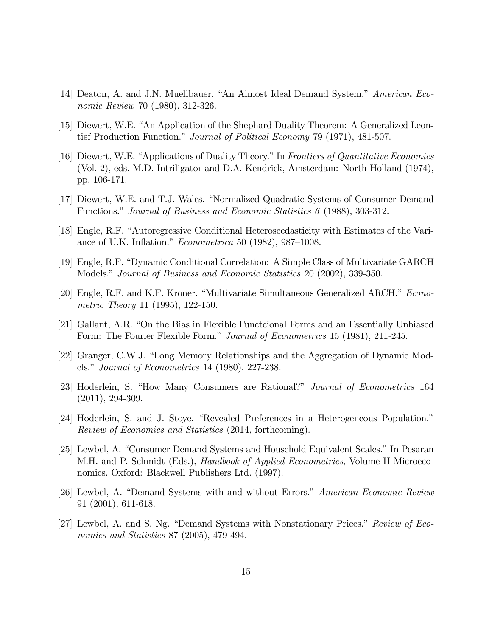- [14] Deaton, A. and J.N. Muellbauer. "An Almost Ideal Demand System." American Economic Review 70 (1980), 312-326.
- [15] Diewert, W.E. "An Application of the Shephard Duality Theorem: A Generalized Leontief Production Function." Journal of Political Economy 79 (1971), 481-507.
- [16] Diewert, W.E. "Applications of Duality Theory." In Frontiers of Quantitative Economics (Vol. 2), eds. M.D. Intriligator and D.A. Kendrick, Amsterdam: North-Holland (1974), pp. 106-171.
- [17] Diewert, W.E. and T.J. Wales. "Normalized Quadratic Systems of Consumer Demand Functions." Journal of Business and Economic Statistics  $6$  (1988), 303-312.
- [18] Engle, R.F. "Autoregressive Conditional Heteroscedasticity with Estimates of the Variance of U.K. Inflation."  $Econometrica$  50 (1982), 987–1008.
- [19] Engle, R.F. "Dynamic Conditional Correlation: A Simple Class of Multivariate GARCH Models." Journal of Business and Economic Statistics 20 (2002), 339-350.
- [20] Engle, R.F. and K.F. Kroner. "Multivariate Simultaneous Generalized ARCH." Econometric Theory 11 (1995), 122-150.
- [21] Gallant, A.R. "On the Bias in Flexible Functcional Forms and an Essentially Unbiased Form: The Fourier Flexible Form." Journal of Econometrics 15 (1981), 211-245.
- [22] Granger, C.W.J. "Long Memory Relationships and the Aggregation of Dynamic Models." Journal of Econometrics 14 (1980), 227-238.
- [23] Hoderlein, S. "How Many Consumers are Rational?" *Journal of Econometrics* 164 (2011), 294-309.
- [24] Hoderlein, S. and J. Stoye. "Revealed Preferences in a Heterogeneous Population." Review of Economics and Statistics (2014, forthcoming).
- [25] Lewbel, A. "Consumer Demand Systems and Household Equivalent Scales." In Pesaran M.H. and P. Schmidt (Eds.), *Handbook of Applied Econometrics*, Volume II Microeconomics. Oxford: Blackwell Publishers Ltd. (1997).
- [26] Lewbel, A. "Demand Systems with and without Errors." American Economic Review 91 (2001), 611-618.
- [27] Lewbel, A. and S. Ng. "Demand Systems with Nonstationary Prices." Review of Economics and Statistics 87 (2005), 479-494.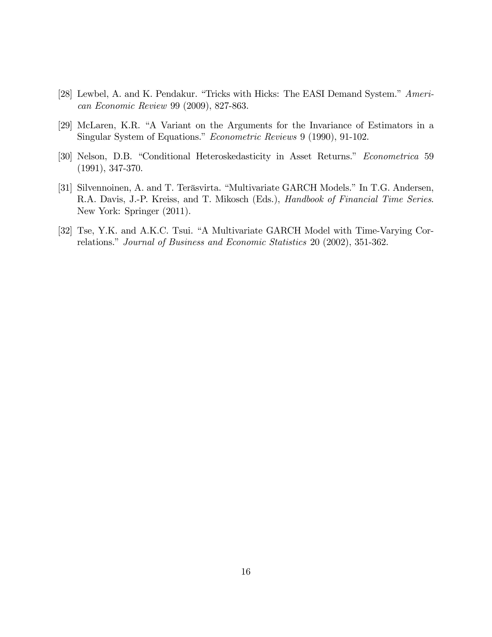- [28] Lewbel, A. and K. Pendakur. "Tricks with Hicks: The EASI Demand System." American Economic Review 99 (2009), 827-863.
- [29] McLaren, K.R. "A Variant on the Arguments for the Invariance of Estimators in a Singular System of Equations." *Econometric Reviews* 9 (1990), 91-102.
- [30] Nelson, D.B. "Conditional Heteroskedasticity in Asset Returns." Econometrica 59 (1991), 347-370.
- [31] Silvennoinen, A. and T. Teräsvirta. "Multivariate GARCH Models." In T.G. Andersen, R.A. Davis, J.-P. Kreiss, and T. Mikosch (Eds.), Handbook of Financial Time Series. New York: Springer (2011).
- [32] Tse, Y.K. and A.K.C. Tsui. "A Multivariate GARCH Model with Time-Varying Correlations." Journal of Business and Economic Statistics 20 (2002), 351-362.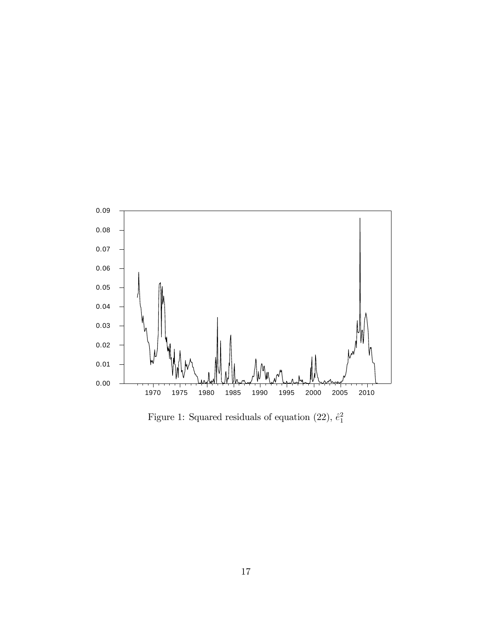

Figure 1: Squared residuals of equation (22),  $\hat{e}_1^2$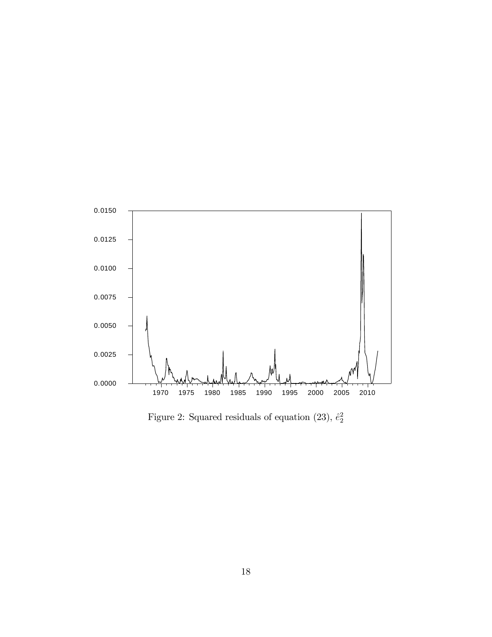

Figure 2: Squared residuals of equation (23),  $\hat{e}_2^2$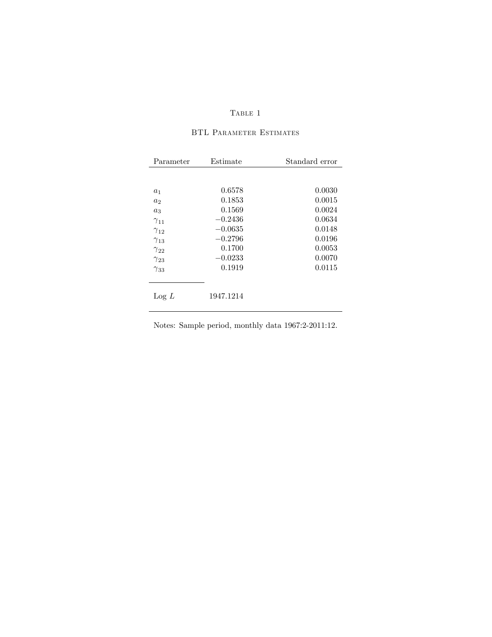#### ${\bf Table ~1}$

| Parameter       | Estimate  | Standard error |
|-----------------|-----------|----------------|
|                 |           |                |
| $a_1$           | 0.6578    | 0.0030         |
| a <sub>2</sub>  | 0.1853    | 0.0015         |
| $a_3$           | 0.1569    | 0.0024         |
| $\gamma_{11}$   | $-0.2436$ | 0.0634         |
| $\gamma_{12}$   | $-0.0635$ | 0.0148         |
| $\gamma_{13}$   | $-0.2796$ | 0.0196         |
| $\gamma_{22}$   | 0.1700    | 0.0053         |
| $\gamma_{23}$   | $-0.0233$ | 0.0070         |
| $\gamma_{33}$   | 0.1919    | 0.0115         |
|                 |           |                |
| $\text{Log } L$ | 1947.1214 |                |

#### BTL Parameter Estimates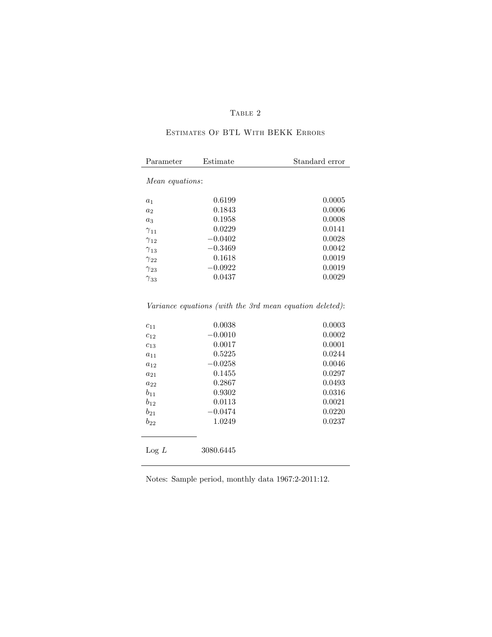#### TABLE 2

#### Estimates Of BTL With BEKK Errors

| Parameter              | Estimate  | Standard error |
|------------------------|-----------|----------------|
| <i>Mean equations:</i> |           |                |
|                        |           |                |
| $a_1$                  | 0.6199    | 0.0005         |
| $a_2$                  | 0.1843    | 0.0006         |
| $a_3$                  | 0.1958    | 0.0008         |
| $\gamma_{11}$          | 0.0229    | 0.0141         |
| $\gamma_{12}$          | $-0.0402$ | 0.0028         |
| $\gamma_{13}$          | $-0.3469$ | 0.0042         |
| $\gamma_{22}$          | 0.1618    | 0.0019         |
| $\gamma_{23}$          | $-0.0922$ | 0.0019         |
| $\gamma_{33}$          | 0.0437    | 0.0029         |

#### Variance equations (with the 3rd mean equation deleted):

| $c_{11}$        | 0.0038    | 0.0003 |
|-----------------|-----------|--------|
| $c_{12}$        | $-0.0010$ | 0.0002 |
| $c_{13}$        | 0.0017    | 0.0001 |
| $a_{11}$        | 0.5225    | 0.0244 |
| $a_{12}$        | $-0.0258$ | 0.0046 |
| $a_{21}$        | 0.1455    | 0.0297 |
| $a_{22}$        | 0.2867    | 0.0493 |
| $b_{11}$        | 0.9302    | 0.0316 |
| $b_{12}$        | 0.0113    | 0.0021 |
| $b_{21}$        | $-0.0474$ | 0.0220 |
| $b_{22}$        | 1.0249    | 0.0237 |
|                 |           |        |
|                 |           |        |
| $\text{Log } L$ | 3080.6445 |        |
|                 |           |        |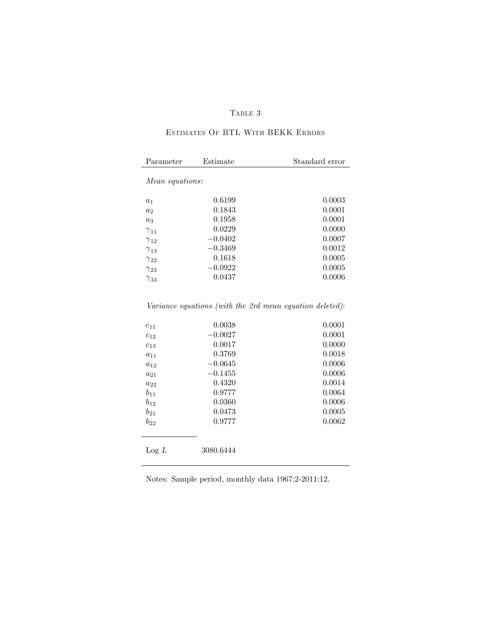#### TABLE  $\sqrt{3}$

#### Estimates Of BTL With BEKK Errors

| Parameter       | Estimate  | Standard error |
|-----------------|-----------|----------------|
| Mean equations: |           |                |
| a <sub>1</sub>  | 0.6199    | 0.0003         |
| a <sub>2</sub>  | 0.1843    | 0.0001         |
| $a_3$           | 0.1958    | 0.0001         |
| $\gamma_{11}$   | 0.0229    | 0.0000         |
| $\gamma_{12}$   | $-0.0402$ | 0.0007         |
| $\gamma_{13}$   | $-0.3469$ | 0.0012         |
| $\gamma_{22}$   | 0.1618    | 0.0005         |
| $\gamma_{23}$   | $-0.0922$ | 0.0005         |
| $\gamma_{33}$   | 0.0437    | 0.0006         |

#### Variance equations (with the 2rd mean equation deleted):

| $c_{11}$        | 0.0038    | 0.0001 |
|-----------------|-----------|--------|
| $c_{12}$        | $-0.0027$ | 0.0001 |
| $c_{13}$        | 0.0017    | 0.0000 |
| $a_{11}$        | 0.3769    | 0.0018 |
| $a_{12}$        | $-0.0645$ | 0.0006 |
| $a_{21}$        | $-0.1455$ | 0.0006 |
| $a_{22}$        | 0.4320    | 0.0014 |
| $b_{11}$        | 0.9777    | 0.0064 |
| $b_{12}$        | 0.0360    | 0.0006 |
| $b_{21}$        | 0.0473    | 0.0005 |
| $b_{22}$        | 0.9777    | 0.0062 |
|                 |           |        |
|                 |           |        |
| $\text{Log } L$ | 3080.6444 |        |
|                 |           |        |